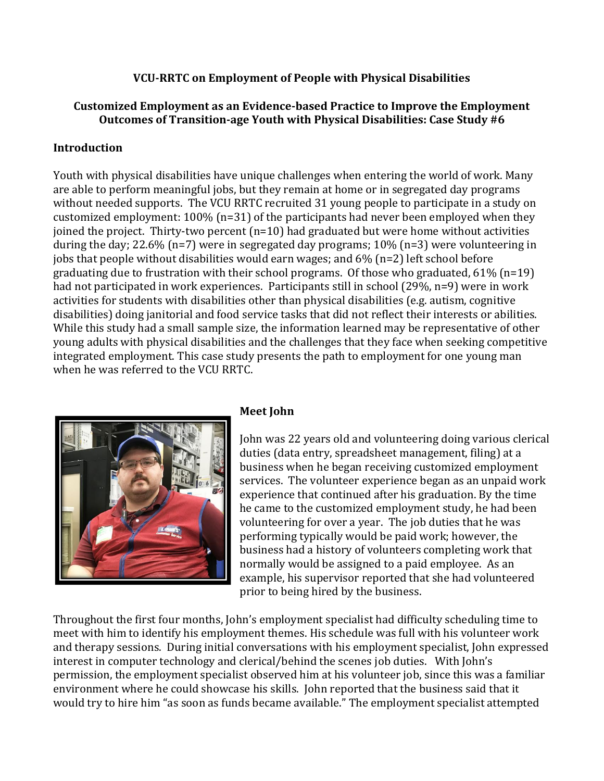### **VCU-RRTC on Employment of People with Physical Disabilities**

## **Customized Employment as an Evidence-based Practice to Improve the Employment Outcomes of Transition-age Youth with Physical Disabilities: Case Study #6**

### **Introduction**

Youth with physical disabilities have unique challenges when entering the world of work. Many are able to perform meaningful jobs, but they remain at home or in segregated day programs without needed supports. The VCU RRTC recruited 31 young people to participate in a study on customized employment: 100% (n=31) of the participants had never been employed when they joined the project. Thirty-two percent (n=10) had graduated but were home without activities during the day; 22.6% (n=7) were in segregated day programs; 10% (n=3) were volunteering in jobs that people without disabilities would earn wages; and 6% (n=2) left school before graduating due to frustration with their school programs. Of those who graduated, 61% (n=19) had not participated in work experiences. Participants still in school (29%, n=9) were in work activities for students with disabilities other than physical disabilities (e.g. autism, cognitive disabilities) doing janitorial and food service tasks that did not reflect their interests or abilities. While this study had a small sample size, the information learned may be representative of other young adults with physical disabilities and the challenges that they face when seeking competitive integrated employment. This case study presents the path to employment for one young man when he was referred to the VCU RRTC.



#### **Meet John**

John was 22 years old and volunteering doing various clerical duties (data entry, spreadsheet management, filing) at a business when he began receiving customized employment services. The volunteer experience began as an unpaid work experience that continued after his graduation. By the time he came to the customized employment study, he had been volunteering for over a year. The job duties that he was performing typically would be paid work; however, the business had a history of volunteers completing work that normally would be assigned to a paid employee. As an example, his supervisor reported that she had volunteered prior to being hired by the business.

Throughout the first four months, John's employment specialist had difficulty scheduling time to meet with him to identify his employment themes. His schedule was full with his volunteer work and therapy sessions. During initial conversations with his employment specialist, John expressed interest in computer technology and clerical/behind the scenes job duties. With John's permission, the employment specialist observed him at his volunteer job, since this was a familiar environment where he could showcase his skills. John reported that the business said that it would try to hire him "as soon as funds became available." The employment specialist attempted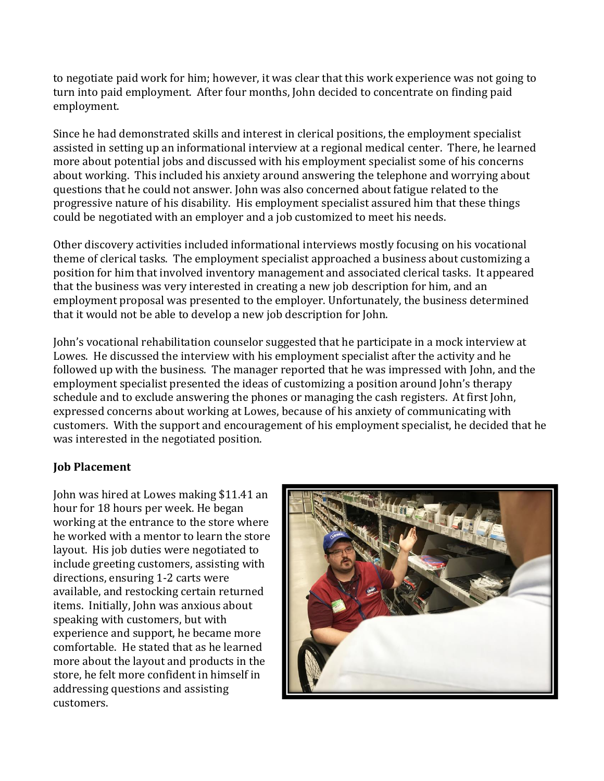to negotiate paid work for him; however, it was clear that this work experience was not going to turn into paid employment. After four months, John decided to concentrate on finding paid employment.

Since he had demonstrated skills and interest in clerical positions, the employment specialist assisted in setting up an informational interview at a regional medical center. There, he learned more about potential jobs and discussed with his employment specialist some of his concerns about working. This included his anxiety around answering the telephone and worrying about questions that he could not answer. John was also concerned about fatigue related to the progressive nature of his disability. His employment specialist assured him that these things could be negotiated with an employer and a job customized to meet his needs.

Other discovery activities included informational interviews mostly focusing on his vocational theme of clerical tasks. The employment specialist approached a business about customizing a position for him that involved inventory management and associated clerical tasks. It appeared that the business was very interested in creating a new job description for him, and an employment proposal was presented to the employer. Unfortunately, the business determined that it would not be able to develop a new job description for John.

John's vocational rehabilitation counselor suggested that he participate in a mock interview at Lowes. He discussed the interview with his employment specialist after the activity and he followed up with the business. The manager reported that he was impressed with John, and the employment specialist presented the ideas of customizing a position around John's therapy schedule and to exclude answering the phones or managing the cash registers. At first John, expressed concerns about working at Lowes, because of his anxiety of communicating with customers. With the support and encouragement of his employment specialist, he decided that he was interested in the negotiated position.

## **Job Placement**

John was hired at Lowes making \$11.41 an hour for 18 hours per week. He began working at the entrance to the store where he worked with a mentor to learn the store layout. His job duties were negotiated to include greeting customers, assisting with directions, ensuring 1-2 carts were available, and restocking certain returned items. Initially, John was anxious about speaking with customers, but with experience and support, he became more comfortable. He stated that as he learned more about the layout and products in the store, he felt more confident in himself in addressing questions and assisting customers.

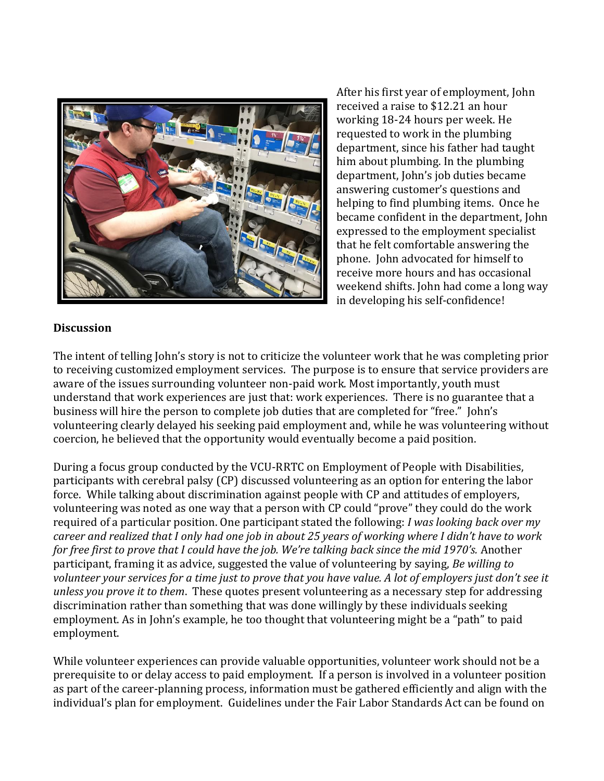

After his first year of employment, John received a raise to \$12.21 an hour working 18-24 hours per week. He requested to work in the plumbing department, since his father had taught him about plumbing. In the plumbing department, John's job duties became answering customer's questions and helping to find plumbing items. Once he became confident in the department, John expressed to the employment specialist that he felt comfortable answering the phone. John advocated for himself to receive more hours and has occasional weekend shifts. John had come a long way in developing his self-confidence!

#### **Discussion**

The intent of telling John's story is not to criticize the volunteer work that he was completing prior to receiving customized employment services. The purpose is to ensure that service providers are aware of the issues surrounding volunteer non-paid work. Most importantly, youth must understand that work experiences are just that: work experiences. There is no guarantee that a business will hire the person to complete job duties that are completed for "free." John's volunteering clearly delayed his seeking paid employment and, while he was volunteering without coercion, he believed that the opportunity would eventually become a paid position.

During a focus group conducted by the VCU-RRTC on Employment of People with Disabilities, participants with cerebral palsy (CP) discussed volunteering as an option for entering the labor force. While talking about discrimination against people with CP and attitudes of employers, volunteering was noted as one way that a person with CP could "prove" they could do the work required of a particular position. One participant stated the following: *I was looking back over my career and realized that I only had one job in about 25 years of working where I didn't have to work for free first to prove that I could have the job. We're talking back since the mid 1970's.* Another participant, framing it as advice, suggested the value of volunteering by saying, *Be willing to volunteer your services for a time just to prove that you have value. A lot of employers just don't see it unless you prove it to them*. These quotes present volunteering as a necessary step for addressing discrimination rather than something that was done willingly by these individuals seeking employment. As in John's example, he too thought that volunteering might be a "path" to paid employment.

While volunteer experiences can provide valuable opportunities, volunteer work should not be a prerequisite to or delay access to paid employment. If a person is involved in a volunteer position as part of the career-planning process, information must be gathered efficiently and align with the individual's plan for employment. Guidelines under the Fair Labor Standards Act can be found on